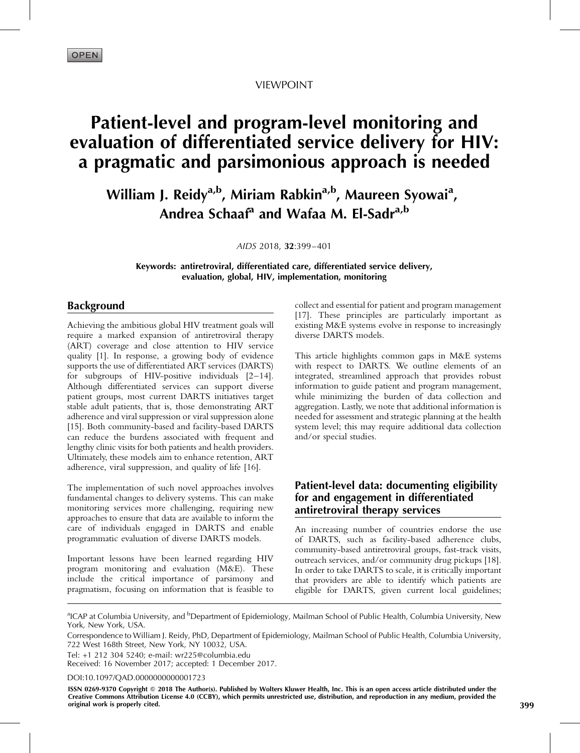VIEWPOINT

# Patient-level and program-level monitoring and evaluation of differentiated service delivery for HIV: a pragmatic and parsimonious approach is needed

William J. Reidy<sup>a,b</sup>, Miriam Rabkin<sup>a,b</sup>, Maureen Syowai<sup>a</sup>, Andrea Schaaf<sup>a</sup> and Wafaa M. El-Sadr<sup>a,b</sup>

AIDS 2018, 32:399–401

Keywords: antiretroviral, differentiated care, differentiated service delivery, evaluation, global, HIV, implementation, monitoring

## Background

Achieving the ambitious global HIV treatment goals will require a marked expansion of antiretroviral therapy (ART) coverage and close attention to HIV service quality [\[1\]](#page-2-0). In response, a growing body of evidence supports the use of differentiated ART services (DARTS) for subgroups of HIV-positive individuals [\[2–14\]](#page-2-0). Although differentiated services can support diverse patient groups, most current DARTS initiatives target stable adult patients, that is, those demonstrating ART adherence and viral suppression or viral suppression alone [\[15\]](#page-2-0). Both community-based and facility-based DARTS can reduce the burdens associated with frequent and lengthy clinic visits for both patients and health providers. Ultimately, these models aim to enhance retention, ART adherence, viral suppression, and quality of life [\[16\].](#page-2-0)

The implementation of such novel approaches involves fundamental changes to delivery systems. This can make monitoring services more challenging, requiring new approaches to ensure that data are available to inform the care of individuals engaged in DARTS and enable programmatic evaluation of diverse DARTS models.

Important lessons have been learned regarding HIV program monitoring and evaluation (M&E). These include the critical importance of parsimony and pragmatism, focusing on information that is feasible to

collect and essential for patient and program management [\[17\]](#page-2-0). These principles are particularly important as existing M&E systems evolve in response to increasingly diverse DARTS models.

This article highlights common gaps in M&E systems with respect to DARTS. We outline elements of an integrated, streamlined approach that provides robust information to guide patient and program management, while minimizing the burden of data collection and aggregation. Lastly, we note that additional information is needed for assessment and strategic planning at the health system level; this may require additional data collection and/or special studies.

## Patient-level data: documenting eligibility for and engagement in differentiated antiretroviral therapy services

An increasing number of countries endorse the use of DARTS, such as facility-based adherence clubs, community-based antiretroviral groups, fast-track visits, outreach services, and/or community drug pickups [\[18\]](#page-2-0). In order to take DARTS to scale, it is critically important that providers are able to identify which patients are eligible for DARTS, given current local guidelines;

<sup>a</sup>ICAP at Columbia University, and <sup>b</sup>Department of Epidemiology, Mailman School of Public Health, Columbia University, New York, New York, USA.

Tel: +1 212 304 5240; e-mail: [wr225@columbia.edu](mailto:wr225@columbia.edu) Received: 16 November 2017; accepted: 1 December 2017.

DOI[:10.1097/QAD.0000000000001723](http://dx.doi.org/10.1097/QAD.0000000000001723)

ISSN 0269-9370 Copyright @ 2018 The Author(s). Published by Wolters Kluwer Health, Inc. This is an open access article distributed under the Creative Commons Attribution License 4.0 (CCBY), which permits unrestricted use, distribution, and reproduction in any medium, provided the original work is properly cited. 399

Correspondence to William J. Reidy, PhD, Department of Epidemiology, Mailman School of Public Health, Columbia University, 722 West 168th Street, New York, NY 10032, USA.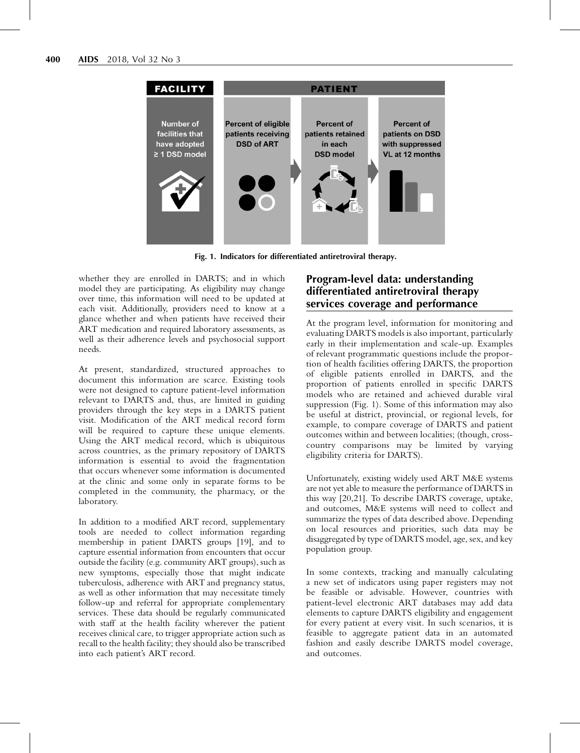<span id="page-1-0"></span>

Fig. 1. Indicators for differentiated antiretroviral therapy.

whether they are enrolled in DARTS; and in which model they are participating. As eligibility may change over time, this information will need to be updated at each visit. Additionally, providers need to know at a glance whether and when patients have received their ART medication and required laboratory assessments, as well as their adherence levels and psychosocial support needs.

At present, standardized, structured approaches to document this information are scarce. Existing tools were not designed to capture patient-level information relevant to DARTS and, thus, are limited in guiding providers through the key steps in a DARTS patient visit. Modification of the ART medical record form will be required to capture these unique elements. Using the ART medical record, which is ubiquitous across countries, as the primary repository of DARTS information is essential to avoid the fragmentation that occurs whenever some information is documented at the clinic and some only in separate forms to be completed in the community, the pharmacy, or the laboratory.

In addition to a modified ART record, supplementary tools are needed to collect information regarding membership in patient DARTS groups [\[19\],](#page-2-0) and to capture essential information from encounters that occur outside the facility (e.g. community ART groups), such as new symptoms, especially those that might indicate tuberculosis, adherence with ART and pregnancy status, as well as other information that may necessitate timely follow-up and referral for appropriate complementary services. These data should be regularly communicated with staff at the health facility wherever the patient receives clinical care, to trigger appropriate action such as recall to the health facility; they should also be transcribed into each patient's ART record.

# Program-level data: understanding differentiated antiretroviral therapy services coverage and performance

At the program level, information for monitoring and evaluating DARTS models is also important, particularly early in their implementation and scale-up. Examples of relevant programmatic questions include the proportion of health facilities offering DARTS, the proportion of eligible patients enrolled in DARTS, and the proportion of patients enrolled in specific DARTS models who are retained and achieved durable viral suppression (Fig. 1). Some of this information may also be useful at district, provincial, or regional levels, for example, to compare coverage of DARTS and patient outcomes within and between localities; (though, crosscountry comparisons may be limited by varying eligibility criteria for DARTS).

Unfortunately, existing widely used ART M&E systems are not yet able to measure the performance of DARTS in this way [\[20,21\].](#page-2-0) To describe DARTS coverage, uptake, and outcomes, M&E systems will need to collect and summarize the types of data described above. Depending on local resources and priorities, such data may be disaggregated by type of DARTS model, age, sex, and key population group.

In some contexts, tracking and manually calculating a new set of indicators using paper registers may not be feasible or advisable. However, countries with patient-level electronic ART databases may add data elements to capture DARTS eligibility and engagement for every patient at every visit. In such scenarios, it is feasible to aggregate patient data in an automated fashion and easily describe DARTS model coverage, and outcomes.